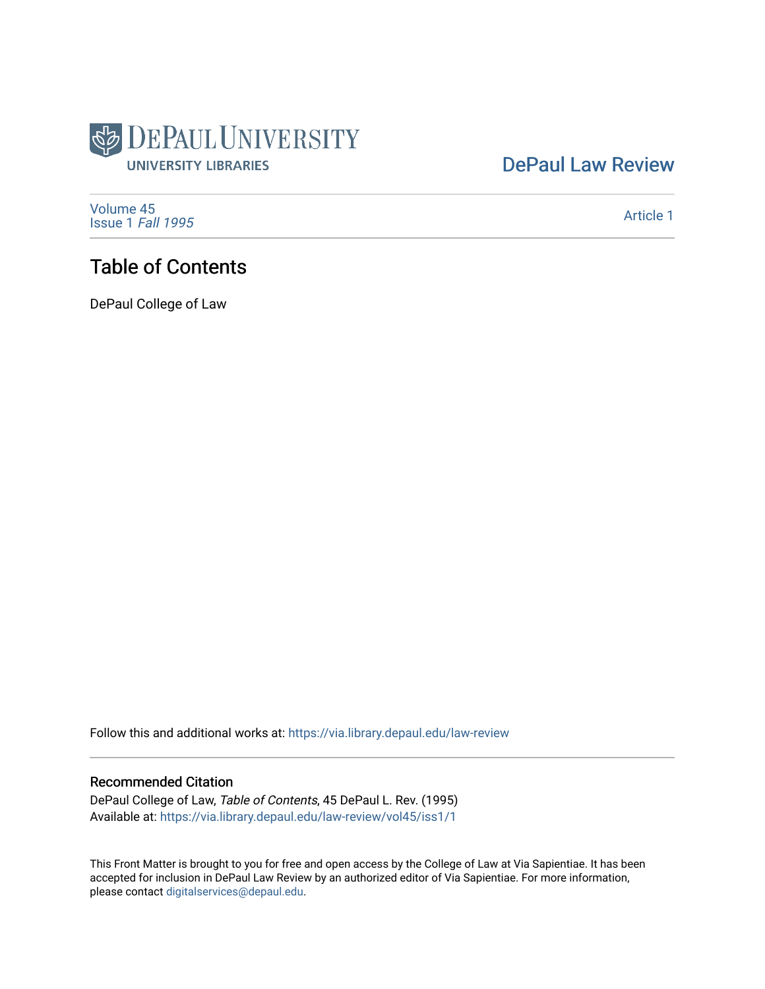

### [DePaul Law Review](https://via.library.depaul.edu/law-review)

[Volume 45](https://via.library.depaul.edu/law-review/vol45) [Issue 1](https://via.library.depaul.edu/law-review/vol45/iss1) Fall 1995

[Article 1](https://via.library.depaul.edu/law-review/vol45/iss1/1) 

## Table of Contents

DePaul College of Law

Follow this and additional works at: [https://via.library.depaul.edu/law-review](https://via.library.depaul.edu/law-review?utm_source=via.library.depaul.edu%2Flaw-review%2Fvol45%2Fiss1%2F1&utm_medium=PDF&utm_campaign=PDFCoverPages) 

#### Recommended Citation

DePaul College of Law, Table of Contents, 45 DePaul L. Rev. (1995) Available at: [https://via.library.depaul.edu/law-review/vol45/iss1/1](https://via.library.depaul.edu/law-review/vol45/iss1/1?utm_source=via.library.depaul.edu%2Flaw-review%2Fvol45%2Fiss1%2F1&utm_medium=PDF&utm_campaign=PDFCoverPages) 

This Front Matter is brought to you for free and open access by the College of Law at Via Sapientiae. It has been accepted for inclusion in DePaul Law Review by an authorized editor of Via Sapientiae. For more information, please contact [digitalservices@depaul.edu.](mailto:digitalservices@depaul.edu)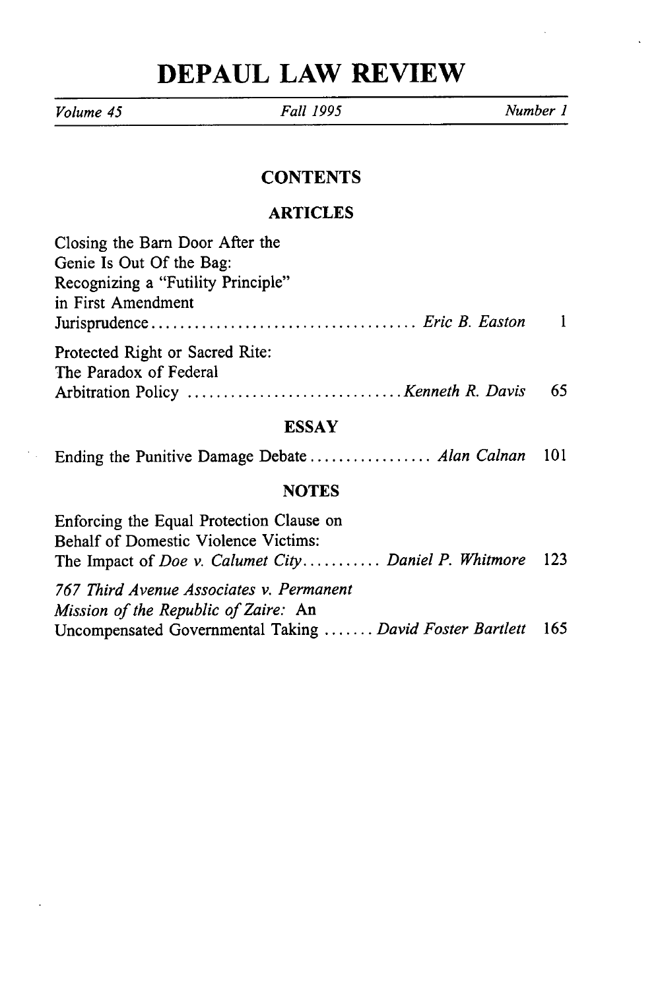# **DEPAUL LAW REVIEW**

 $\ddot{\phantom{a}}$ 

*Volume 45 Fall 1995 Number 1* **CONTENTS ARTICLES**

| Closing the Barn Door After the                    |    |
|----------------------------------------------------|----|
| Genie Is Out Of the Bag:                           |    |
| Recognizing a "Futility Principle"                 |    |
| in First Amendment                                 |    |
|                                                    |    |
| Protected Right or Sacred Rite:                    |    |
| The Paradox of Federal                             |    |
|                                                    | 65 |
| <b>ESSAY</b>                                       |    |
| Ending the Punitive Damage Debate  Alan Calnan 101 |    |
|                                                    |    |

#### **NOTES**

| Enforcing the Equal Protection Clause on<br><b>Behalf of Domestic Violence Victims:</b> |  |
|-----------------------------------------------------------------------------------------|--|
| The Impact of Doe v. Calumet City Daniel P. Whitmore 123                                |  |
| 767 Third Avenue Associates v. Permanent<br>Mission of the Republic of Zaire: An        |  |
| Uncompensated Governmental Taking  David Foster Bartlett 165                            |  |